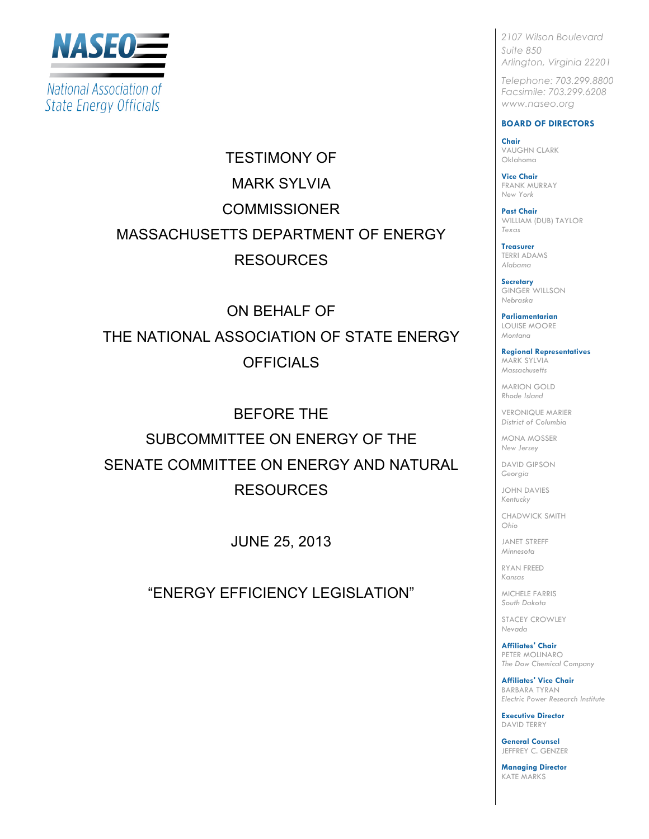

TESTIMONY OF **MARK SYLVIA COMMISSIONER** MASSACHUSETTS DEPARTMENT OF ENERGY RESOURCES

ON BEHALF OF THE NATIONAL ASSOCIATION OF STATE ENERGY **OFFICIALS** 

BEFORE THE SUBCOMMITTEE ON ENERGY OF THE SENATE COMMITTEE ON ENERGY AND NATURAL RESOURCES

JUNE 25, 2013

"ENERGY EFFICIENCY LEGISLATION"

*2107 Wilson Boulevard Suite 850 Arlington, Virginia 22201*

*Telephone: 703.299.8800 Facsimile: 703.299.6208 www.naseo.org*

#### **BOARD OF DIRECTORS**

**Chair** VAUGHN CLARK Oklahoma

**Vice Chair** FRANK MURRAY *New York*

**Past Chair** WILLIAM (DUB) TAYLOR *Texas*

**Treasurer** TERRI ADAMS *Alabama*

**Secretary** GINGER WILLSON *Nebraska*

**Parliamentarian** LOUISE MOORE *Montana*

**Regional Representatives** MARK SYLVIA *Massachusetts*

MARION GOLD *Rhode Island*

VERONIQUE MARIER *District of Columbia*

MONA MOSSER *New Jersey*

DAVID GIPSON *Georgia*

JOHN DAVIES *Kentucky*

CHADWICK SMITH *Ohio*

JANET STREFF *Minnesota*

RYAN FREED *Kansas*

MICHELE FARRIS *South Dakota*

STACEY CROWLEY *Nevada*

**Affiliates' Chair** PETER MOLINARO *The Dow Chemical Company*

**Affiliates' Vice Chair** BARBARA TYRAN *Electric Power Research Institute*

**Executive Director** DAVID TERRY

**General Counsel** JEFFREY C. GENZER

**Managing Director** KATE MARKS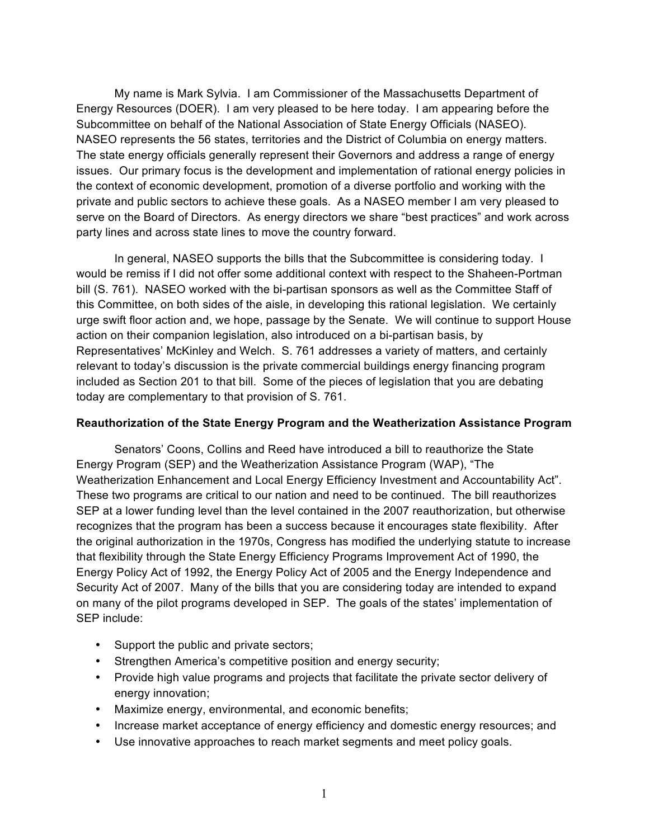My name is Mark Sylvia. I am Commissioner of the Massachusetts Department of Energy Resources (DOER). I am very pleased to be here today. I am appearing before the Subcommittee on behalf of the National Association of State Energy Officials (NASEO). NASEO represents the 56 states, territories and the District of Columbia on energy matters. The state energy officials generally represent their Governors and address a range of energy issues. Our primary focus is the development and implementation of rational energy policies in the context of economic development, promotion of a diverse portfolio and working with the private and public sectors to achieve these goals. As a NASEO member I am very pleased to serve on the Board of Directors. As energy directors we share "best practices" and work across party lines and across state lines to move the country forward.

In general, NASEO supports the bills that the Subcommittee is considering today. I would be remiss if I did not offer some additional context with respect to the Shaheen-Portman bill (S. 761). NASEO worked with the bi-partisan sponsors as well as the Committee Staff of this Committee, on both sides of the aisle, in developing this rational legislation. We certainly urge swift floor action and, we hope, passage by the Senate. We will continue to support House action on their companion legislation, also introduced on a bi-partisan basis, by Representatives' McKinley and Welch. S. 761 addresses a variety of matters, and certainly relevant to today's discussion is the private commercial buildings energy financing program included as Section 201 to that bill. Some of the pieces of legislation that you are debating today are complementary to that provision of S. 761.

### **Reauthorization of the State Energy Program and the Weatherization Assistance Program**

Senators' Coons, Collins and Reed have introduced a bill to reauthorize the State Energy Program (SEP) and the Weatherization Assistance Program (WAP), "The Weatherization Enhancement and Local Energy Efficiency Investment and Accountability Act". These two programs are critical to our nation and need to be continued. The bill reauthorizes SEP at a lower funding level than the level contained in the 2007 reauthorization, but otherwise recognizes that the program has been a success because it encourages state flexibility. After the original authorization in the 1970s, Congress has modified the underlying statute to increase that flexibility through the State Energy Efficiency Programs Improvement Act of 1990, the Energy Policy Act of 1992, the Energy Policy Act of 2005 and the Energy Independence and Security Act of 2007. Many of the bills that you are considering today are intended to expand on many of the pilot programs developed in SEP. The goals of the states' implementation of SEP include:

- Support the public and private sectors;
- Strengthen America's competitive position and energy security;
- Provide high value programs and projects that facilitate the private sector delivery of energy innovation;
- Maximize energy, environmental, and economic benefits;
- Increase market acceptance of energy efficiency and domestic energy resources; and
- Use innovative approaches to reach market segments and meet policy goals.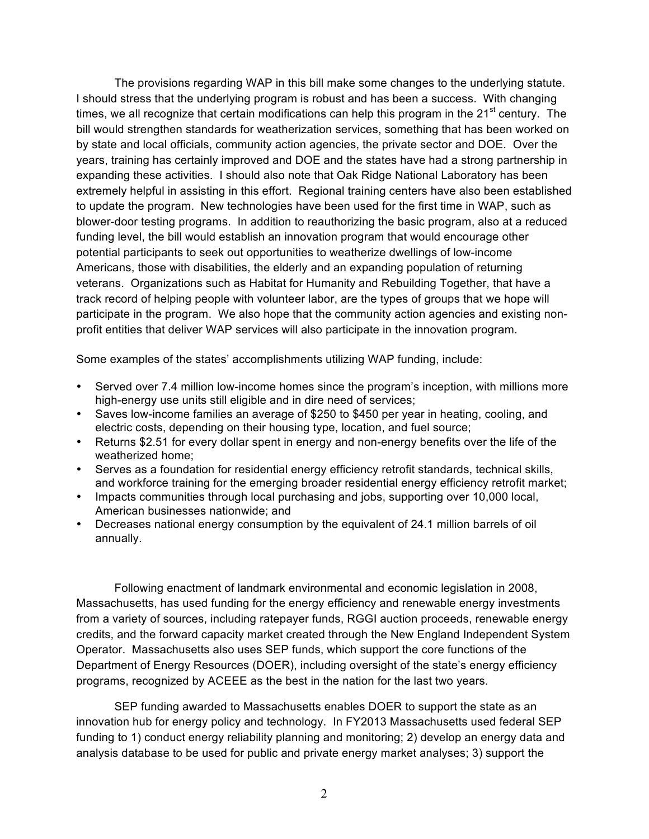The provisions regarding WAP in this bill make some changes to the underlying statute. I should stress that the underlying program is robust and has been a success. With changing times, we all recognize that certain modifications can help this program in the  $21<sup>st</sup>$  century. The bill would strengthen standards for weatherization services, something that has been worked on by state and local officials, community action agencies, the private sector and DOE. Over the years, training has certainly improved and DOE and the states have had a strong partnership in expanding these activities. I should also note that Oak Ridge National Laboratory has been extremely helpful in assisting in this effort. Regional training centers have also been established to update the program. New technologies have been used for the first time in WAP, such as blower-door testing programs. In addition to reauthorizing the basic program, also at a reduced funding level, the bill would establish an innovation program that would encourage other potential participants to seek out opportunities to weatherize dwellings of low-income Americans, those with disabilities, the elderly and an expanding population of returning veterans. Organizations such as Habitat for Humanity and Rebuilding Together, that have a track record of helping people with volunteer labor, are the types of groups that we hope will participate in the program. We also hope that the community action agencies and existing nonprofit entities that deliver WAP services will also participate in the innovation program.

Some examples of the states' accomplishments utilizing WAP funding, include:

- Served over 7.4 million low-income homes since the program's inception, with millions more high-energy use units still eligible and in dire need of services;
- Saves low-income families an average of \$250 to \$450 per year in heating, cooling, and electric costs, depending on their housing type, location, and fuel source;
- Returns \$2.51 for every dollar spent in energy and non-energy benefits over the life of the weatherized home;
- Serves as a foundation for residential energy efficiency retrofit standards, technical skills, and workforce training for the emerging broader residential energy efficiency retrofit market;
- Impacts communities through local purchasing and jobs, supporting over 10,000 local, American businesses nationwide; and
- Decreases national energy consumption by the equivalent of 24.1 million barrels of oil annually.

Following enactment of landmark environmental and economic legislation in 2008, Massachusetts, has used funding for the energy efficiency and renewable energy investments from a variety of sources, including ratepayer funds, RGGI auction proceeds, renewable energy credits, and the forward capacity market created through the New England Independent System Operator. Massachusetts also uses SEP funds, which support the core functions of the Department of Energy Resources (DOER), including oversight of the state's energy efficiency programs, recognized by ACEEE as the best in the nation for the last two years.

SEP funding awarded to Massachusetts enables DOER to support the state as an innovation hub for energy policy and technology. In FY2013 Massachusetts used federal SEP funding to 1) conduct energy reliability planning and monitoring; 2) develop an energy data and analysis database to be used for public and private energy market analyses; 3) support the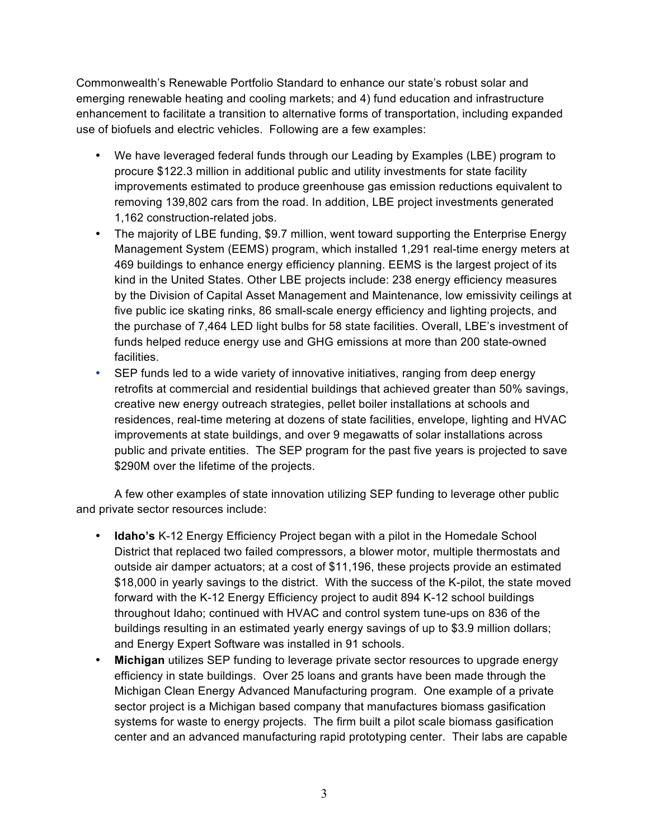Commonwealth's Renewable Portfolio Standard to enhance our state's robust solar and emerging renewable heating and cooling markets; and 4) fund education and infrastructure enhancement to facilitate a transition to alternative forms of transportation, including expanded use of biofuels and electric vehicles. Following are a few examples:

- We have leveraged federal funds through our Leading by Examples (LBE) program to procure \$122.3 million in additional public and utility investments for state facility improvements estimated to produce greenhouse gas emission reductions equivalent to removing 139,802 cars from the road. In addition, LBE project investments generated 1,162 construction-related jobs.
- The majority of LBE funding, \$9.7 million, went toward supporting the Enterprise Energy Management System (EEMS) program, which installed 1,291 real-time energy meters at 469 buildings to enhance energy efficiency planning. EEMS is the largest project of its kind in the United States. Other LBE projects include: 238 energy efficiency measures by the Division of Capital Asset Management and Maintenance, low emissivity ceilings at five public ice skating rinks, 86 small-scale energy efficiency and lighting projects, and the purchase of 7,464 LED light bulbs for 58 state facilities. Overall, LBE's investment of funds helped reduce energy use and GHG emissions at more than 200 state-owned facilities.
- SEP funds led to a wide variety of innovative initiatives, ranging from deep energy retrofits at commercial and residential buildings that achieved greater than 50% savings, creative new energy outreach strategies, pellet boiler installations at schools and residences, real-time metering at dozens of state facilities, envelope, lighting and HVAC improvements at state buildings, and over 9 megawatts of solar installations across public and private entities. The SEP program for the past five years is projected to save \$290M over the lifetime of the projects.

A few other examples of state innovation utilizing SEP funding to leverage other public and private sector resources include:

- **Idaho's** K-12 Energy Efficiency Project began with a pilot in the Homedale School District that replaced two failed compressors, a blower motor, multiple thermostats and outside air damper actuators; at a cost of \$11,196, these projects provide an estimated \$18,000 in yearly savings to the district. With the success of the K-pilot, the state moved forward with the K-12 Energy Efficiency project to audit 894 K-12 school buildings throughout Idaho; continued with HVAC and control system tune-ups on 836 of the buildings resulting in an estimated yearly energy savings of up to \$3.9 million dollars; and Energy Expert Software was installed in 91 schools.
- **Michigan** utilizes SEP funding to leverage private sector resources to upgrade energy efficiency in state buildings. Over 25 loans and grants have been made through the Michigan Clean Energy Advanced Manufacturing program. One example of a private sector project is a Michigan based company that manufactures biomass gasification systems for waste to energy projects. The firm built a pilot scale biomass gasification center and an advanced manufacturing rapid prototyping center. Their labs are capable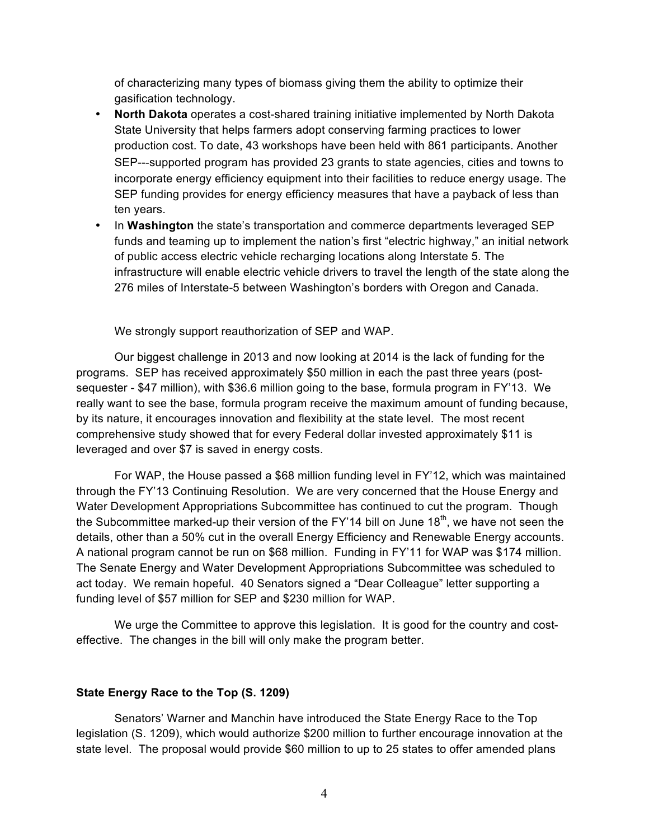of characterizing many types of biomass giving them the ability to optimize their gasification technology.

- **North Dakota** operates a cost-shared training initiative implemented by North Dakota State University that helps farmers adopt conserving farming practices to lower production cost. To date, 43 workshops have been held with 861 participants. Another SEP---supported program has provided 23 grants to state agencies, cities and towns to incorporate energy efficiency equipment into their facilities to reduce energy usage. The SEP funding provides for energy efficiency measures that have a payback of less than ten years.
- In **Washington** the state's transportation and commerce departments leveraged SEP funds and teaming up to implement the nation's first "electric highway," an initial network of public access electric vehicle recharging locations along Interstate 5. The infrastructure will enable electric vehicle drivers to travel the length of the state along the 276 miles of Interstate-5 between Washington's borders with Oregon and Canada.

We strongly support reauthorization of SEP and WAP.

Our biggest challenge in 2013 and now looking at 2014 is the lack of funding for the programs. SEP has received approximately \$50 million in each the past three years (postsequester - \$47 million), with \$36.6 million going to the base, formula program in FY'13. We really want to see the base, formula program receive the maximum amount of funding because, by its nature, it encourages innovation and flexibility at the state level. The most recent comprehensive study showed that for every Federal dollar invested approximately \$11 is leveraged and over \$7 is saved in energy costs.

For WAP, the House passed a \$68 million funding level in FY'12, which was maintained through the FY'13 Continuing Resolution. We are very concerned that the House Energy and Water Development Appropriations Subcommittee has continued to cut the program. Though the Subcommittee marked-up their version of the FY'14 bill on June  $18<sup>th</sup>$ , we have not seen the details, other than a 50% cut in the overall Energy Efficiency and Renewable Energy accounts. A national program cannot be run on \$68 million. Funding in FY'11 for WAP was \$174 million. The Senate Energy and Water Development Appropriations Subcommittee was scheduled to act today. We remain hopeful. 40 Senators signed a "Dear Colleague" letter supporting a funding level of \$57 million for SEP and \$230 million for WAP.

We urge the Committee to approve this legislation. It is good for the country and costeffective. The changes in the bill will only make the program better.

#### **State Energy Race to the Top (S. 1209)**

Senators' Warner and Manchin have introduced the State Energy Race to the Top legislation (S. 1209), which would authorize \$200 million to further encourage innovation at the state level. The proposal would provide \$60 million to up to 25 states to offer amended plans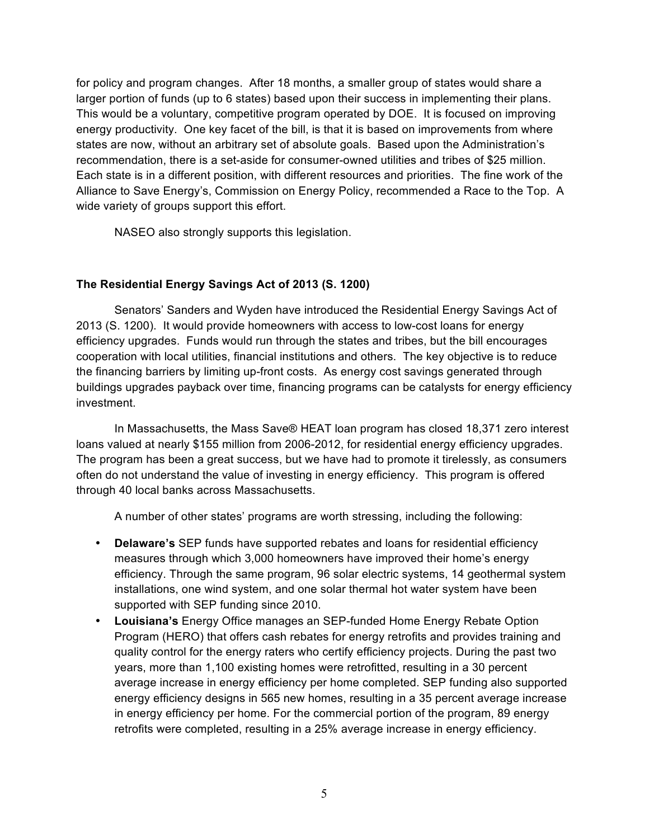for policy and program changes. After 18 months, a smaller group of states would share a larger portion of funds (up to 6 states) based upon their success in implementing their plans. This would be a voluntary, competitive program operated by DOE. It is focused on improving energy productivity. One key facet of the bill, is that it is based on improvements from where states are now, without an arbitrary set of absolute goals. Based upon the Administration's recommendation, there is a set-aside for consumer-owned utilities and tribes of \$25 million. Each state is in a different position, with different resources and priorities. The fine work of the Alliance to Save Energy's, Commission on Energy Policy, recommended a Race to the Top. A wide variety of groups support this effort.

NASEO also strongly supports this legislation.

# **The Residential Energy Savings Act of 2013 (S. 1200)**

Senators' Sanders and Wyden have introduced the Residential Energy Savings Act of 2013 (S. 1200). It would provide homeowners with access to low-cost loans for energy efficiency upgrades. Funds would run through the states and tribes, but the bill encourages cooperation with local utilities, financial institutions and others. The key objective is to reduce the financing barriers by limiting up-front costs. As energy cost savings generated through buildings upgrades payback over time, financing programs can be catalysts for energy efficiency investment.

In Massachusetts, the Mass Save® HEAT loan program has closed 18,371 zero interest loans valued at nearly \$155 million from 2006-2012, for residential energy efficiency upgrades. The program has been a great success, but we have had to promote it tirelessly, as consumers often do not understand the value of investing in energy efficiency. This program is offered through 40 local banks across Massachusetts.

A number of other states' programs are worth stressing, including the following:

- **Delaware's** SEP funds have supported rebates and loans for residential efficiency measures through which 3,000 homeowners have improved their home's energy efficiency. Through the same program, 96 solar electric systems, 14 geothermal system installations, one wind system, and one solar thermal hot water system have been supported with SEP funding since 2010.
- **Louisiana's** Energy Office manages an SEP-funded Home Energy Rebate Option Program (HERO) that offers cash rebates for energy retrofits and provides training and quality control for the energy raters who certify efficiency projects. During the past two years, more than 1,100 existing homes were retrofitted, resulting in a 30 percent average increase in energy efficiency per home completed. SEP funding also supported energy efficiency designs in 565 new homes, resulting in a 35 percent average increase in energy efficiency per home. For the commercial portion of the program, 89 energy retrofits were completed, resulting in a 25% average increase in energy efficiency.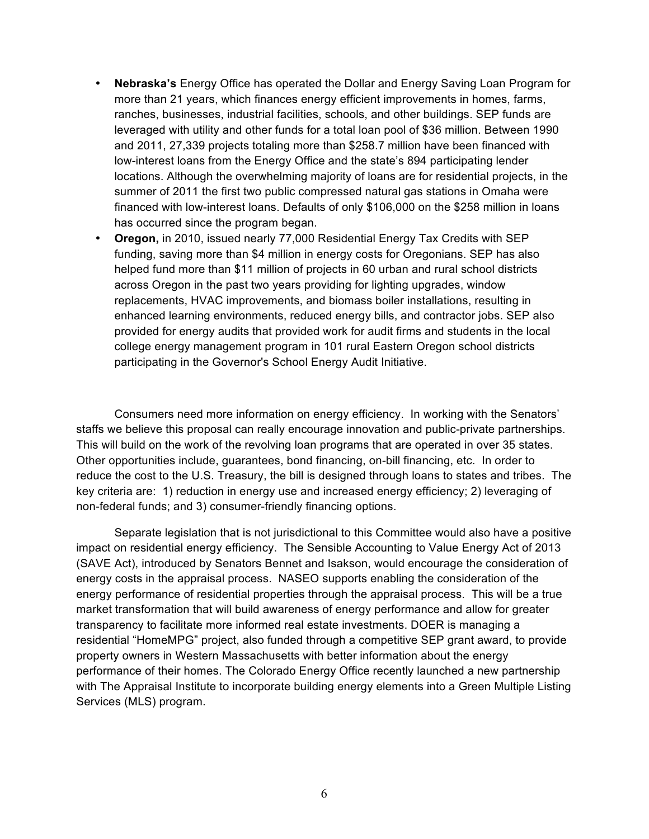- **Nebraska's** Energy Office has operated the Dollar and Energy Saving Loan Program for more than 21 years, which finances energy efficient improvements in homes, farms, ranches, businesses, industrial facilities, schools, and other buildings. SEP funds are leveraged with utility and other funds for a total loan pool of \$36 million. Between 1990 and 2011, 27,339 projects totaling more than \$258.7 million have been financed with low-interest loans from the Energy Office and the state's 894 participating lender locations. Although the overwhelming majority of loans are for residential projects, in the summer of 2011 the first two public compressed natural gas stations in Omaha were financed with low-interest loans. Defaults of only \$106,000 on the \$258 million in loans has occurred since the program began.
- **Oregon,** in 2010, issued nearly 77,000 Residential Energy Tax Credits with SEP funding, saving more than \$4 million in energy costs for Oregonians. SEP has also helped fund more than \$11 million of projects in 60 urban and rural school districts across Oregon in the past two years providing for lighting upgrades, window replacements, HVAC improvements, and biomass boiler installations, resulting in enhanced learning environments, reduced energy bills, and contractor jobs. SEP also provided for energy audits that provided work for audit firms and students in the local college energy management program in 101 rural Eastern Oregon school districts participating in the Governor's School Energy Audit Initiative.

Consumers need more information on energy efficiency. In working with the Senators' staffs we believe this proposal can really encourage innovation and public-private partnerships. This will build on the work of the revolving loan programs that are operated in over 35 states. Other opportunities include, guarantees, bond financing, on-bill financing, etc. In order to reduce the cost to the U.S. Treasury, the bill is designed through loans to states and tribes. The key criteria are: 1) reduction in energy use and increased energy efficiency; 2) leveraging of non-federal funds; and 3) consumer-friendly financing options.

Separate legislation that is not jurisdictional to this Committee would also have a positive impact on residential energy efficiency. The Sensible Accounting to Value Energy Act of 2013 (SAVE Act), introduced by Senators Bennet and Isakson, would encourage the consideration of energy costs in the appraisal process. NASEO supports enabling the consideration of the energy performance of residential properties through the appraisal process. This will be a true market transformation that will build awareness of energy performance and allow for greater transparency to facilitate more informed real estate investments. DOER is managing a residential "HomeMPG" project, also funded through a competitive SEP grant award, to provide property owners in Western Massachusetts with better information about the energy performance of their homes. The Colorado Energy Office recently launched a new partnership with The Appraisal Institute to incorporate building energy elements into a Green Multiple Listing Services (MLS) program.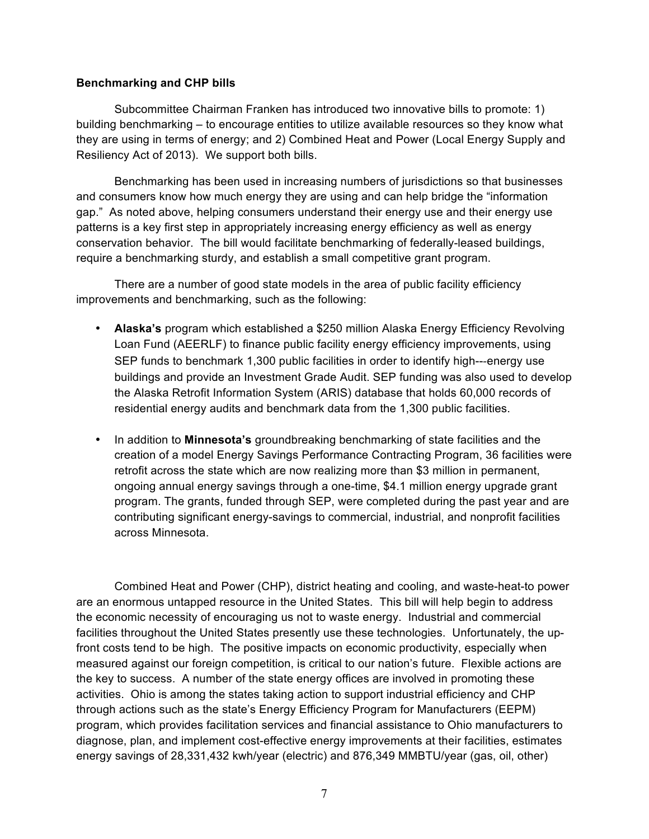## **Benchmarking and CHP bills**

Subcommittee Chairman Franken has introduced two innovative bills to promote: 1) building benchmarking – to encourage entities to utilize available resources so they know what they are using in terms of energy; and 2) Combined Heat and Power (Local Energy Supply and Resiliency Act of 2013). We support both bills.

Benchmarking has been used in increasing numbers of jurisdictions so that businesses and consumers know how much energy they are using and can help bridge the "information gap." As noted above, helping consumers understand their energy use and their energy use patterns is a key first step in appropriately increasing energy efficiency as well as energy conservation behavior. The bill would facilitate benchmarking of federally-leased buildings, require a benchmarking sturdy, and establish a small competitive grant program.

There are a number of good state models in the area of public facility efficiency improvements and benchmarking, such as the following:

- **Alaska's** program which established a \$250 million Alaska Energy Efficiency Revolving Loan Fund (AEERLF) to finance public facility energy efficiency improvements, using SEP funds to benchmark 1,300 public facilities in order to identify high---energy use buildings and provide an Investment Grade Audit. SEP funding was also used to develop the Alaska Retrofit Information System (ARIS) database that holds 60,000 records of residential energy audits and benchmark data from the 1,300 public facilities.
- In addition to **Minnesota's** groundbreaking benchmarking of state facilities and the creation of a model Energy Savings Performance Contracting Program, 36 facilities were retrofit across the state which are now realizing more than \$3 million in permanent, ongoing annual energy savings through a one-time, \$4.1 million energy upgrade grant program. The grants, funded through SEP, were completed during the past year and are contributing significant energy-savings to commercial, industrial, and nonprofit facilities across Minnesota.

Combined Heat and Power (CHP), district heating and cooling, and waste-heat-to power are an enormous untapped resource in the United States. This bill will help begin to address the economic necessity of encouraging us not to waste energy. Industrial and commercial facilities throughout the United States presently use these technologies. Unfortunately, the upfront costs tend to be high. The positive impacts on economic productivity, especially when measured against our foreign competition, is critical to our nation's future. Flexible actions are the key to success. A number of the state energy offices are involved in promoting these activities. Ohio is among the states taking action to support industrial efficiency and CHP through actions such as the state's Energy Efficiency Program for Manufacturers (EEPM) program, which provides facilitation services and financial assistance to Ohio manufacturers to diagnose, plan, and implement cost-effective energy improvements at their facilities, estimates energy savings of 28,331,432 kwh/year (electric) and 876,349 MMBTU/year (gas, oil, other)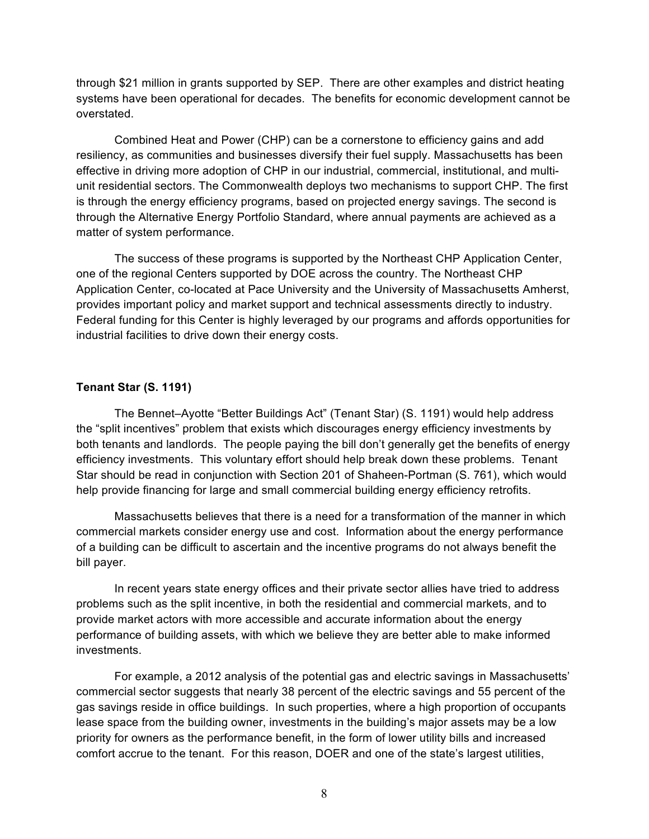through \$21 million in grants supported by SEP. There are other examples and district heating systems have been operational for decades. The benefits for economic development cannot be overstated.

Combined Heat and Power (CHP) can be a cornerstone to efficiency gains and add resiliency, as communities and businesses diversify their fuel supply. Massachusetts has been effective in driving more adoption of CHP in our industrial, commercial, institutional, and multiunit residential sectors. The Commonwealth deploys two mechanisms to support CHP. The first is through the energy efficiency programs, based on projected energy savings. The second is through the Alternative Energy Portfolio Standard, where annual payments are achieved as a matter of system performance.

The success of these programs is supported by the Northeast CHP Application Center, one of the regional Centers supported by DOE across the country. The Northeast CHP Application Center, co-located at Pace University and the University of Massachusetts Amherst, provides important policy and market support and technical assessments directly to industry. Federal funding for this Center is highly leveraged by our programs and affords opportunities for industrial facilities to drive down their energy costs.

# **Tenant Star (S. 1191)**

The Bennet–Ayotte "Better Buildings Act" (Tenant Star) (S. 1191) would help address the "split incentives" problem that exists which discourages energy efficiency investments by both tenants and landlords. The people paying the bill don't generally get the benefits of energy efficiency investments. This voluntary effort should help break down these problems. Tenant Star should be read in conjunction with Section 201 of Shaheen-Portman (S. 761), which would help provide financing for large and small commercial building energy efficiency retrofits.

Massachusetts believes that there is a need for a transformation of the manner in which commercial markets consider energy use and cost. Information about the energy performance of a building can be difficult to ascertain and the incentive programs do not always benefit the bill payer.

In recent years state energy offices and their private sector allies have tried to address problems such as the split incentive, in both the residential and commercial markets, and to provide market actors with more accessible and accurate information about the energy performance of building assets, with which we believe they are better able to make informed investments.

For example, a 2012 analysis of the potential gas and electric savings in Massachusetts' commercial sector suggests that nearly 38 percent of the electric savings and 55 percent of the gas savings reside in office buildings. In such properties, where a high proportion of occupants lease space from the building owner, investments in the building's major assets may be a low priority for owners as the performance benefit, in the form of lower utility bills and increased comfort accrue to the tenant. For this reason, DOER and one of the state's largest utilities,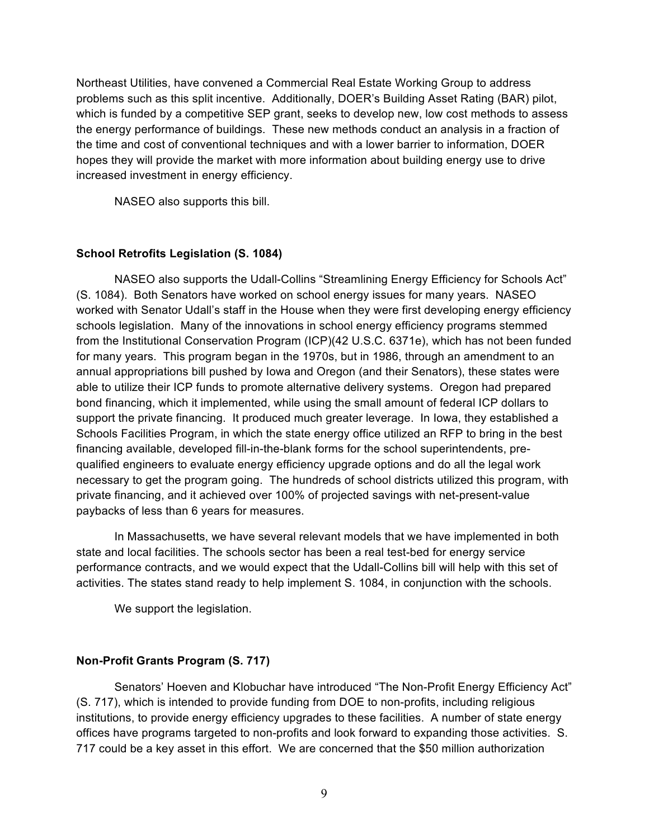Northeast Utilities, have convened a Commercial Real Estate Working Group to address problems such as this split incentive. Additionally, DOER's Building Asset Rating (BAR) pilot, which is funded by a competitive SEP grant, seeks to develop new, low cost methods to assess the energy performance of buildings. These new methods conduct an analysis in a fraction of the time and cost of conventional techniques and with a lower barrier to information, DOER hopes they will provide the market with more information about building energy use to drive increased investment in energy efficiency.

NASEO also supports this bill.

# **School Retrofits Legislation (S. 1084)**

NASEO also supports the Udall-Collins "Streamlining Energy Efficiency for Schools Act" (S. 1084). Both Senators have worked on school energy issues for many years. NASEO worked with Senator Udall's staff in the House when they were first developing energy efficiency schools legislation. Many of the innovations in school energy efficiency programs stemmed from the Institutional Conservation Program (ICP)(42 U.S.C. 6371e), which has not been funded for many years. This program began in the 1970s, but in 1986, through an amendment to an annual appropriations bill pushed by Iowa and Oregon (and their Senators), these states were able to utilize their ICP funds to promote alternative delivery systems. Oregon had prepared bond financing, which it implemented, while using the small amount of federal ICP dollars to support the private financing. It produced much greater leverage. In Iowa, they established a Schools Facilities Program, in which the state energy office utilized an RFP to bring in the best financing available, developed fill-in-the-blank forms for the school superintendents, prequalified engineers to evaluate energy efficiency upgrade options and do all the legal work necessary to get the program going. The hundreds of school districts utilized this program, with private financing, and it achieved over 100% of projected savings with net-present-value paybacks of less than 6 years for measures.

In Massachusetts, we have several relevant models that we have implemented in both state and local facilities. The schools sector has been a real test-bed for energy service performance contracts, and we would expect that the Udall-Collins bill will help with this set of activities. The states stand ready to help implement S. 1084, in conjunction with the schools.

We support the legislation.

# **Non-Profit Grants Program (S. 717)**

Senators' Hoeven and Klobuchar have introduced "The Non-Profit Energy Efficiency Act" (S. 717), which is intended to provide funding from DOE to non-profits, including religious institutions, to provide energy efficiency upgrades to these facilities. A number of state energy offices have programs targeted to non-profits and look forward to expanding those activities. S. 717 could be a key asset in this effort. We are concerned that the \$50 million authorization